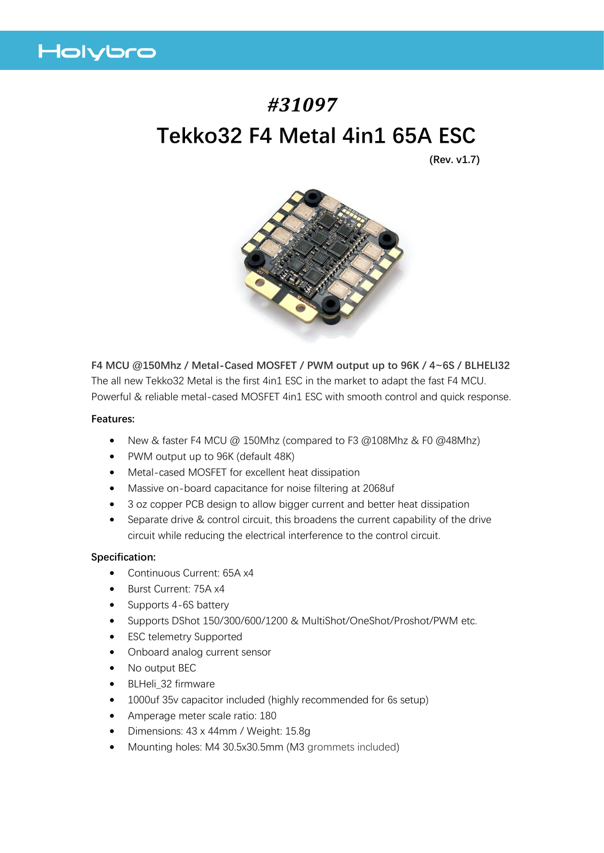

# *#31097* **Tekko32 F4 Metal 4in1 65A ESC**

**(Rev. v1.7)**



**F4 MCU @150Mhz / Metal-Cased MOSFET / PWM output up to 96K / 4~6S / BLHELI32** The all new Tekko32 Metal is the first 4in1 ESC in the market to adapt the fast F4 MCU. Powerful & reliable metal-cased MOSFET 4in1 ESC with smooth control and quick response.

### **Features:**

- New & faster F4 MCU @ 150Mhz (compared to F3 @108Mhz & F0 @48Mhz)
- PWM output up to 96K (default 48K)
- Metal-cased MOSFET for excellent heat dissipation
- Massive on-board capacitance for noise filtering at 2068uf
- 3 oz copper PCB design to allow bigger current and better heat dissipation
- Separate drive & control circuit, this broadens the current capability of the drive circuit while reducing the electrical interference to the control circuit.

### **Specification:**

- Continuous Current: 65A x4
- Burst Current: 75A x4
- Supports 4-6S battery
- Supports DShot 150/300/600/1200 & MultiShot/OneShot/Proshot/PWM etc.
- **ESC telemetry Supported**
- Onboard analog current sensor
- No output BEC
- BLHeli\_32 firmware
- 1000uf 35v capacitor included (highly recommended for 6s setup)
- Amperage meter scale ratio: 180
- Dimensions: 43 x 44mm / Weight: 15.8g
- Mounting holes: M4 30.5x30.5mm (M3 grommets included)